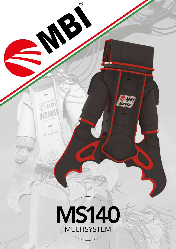